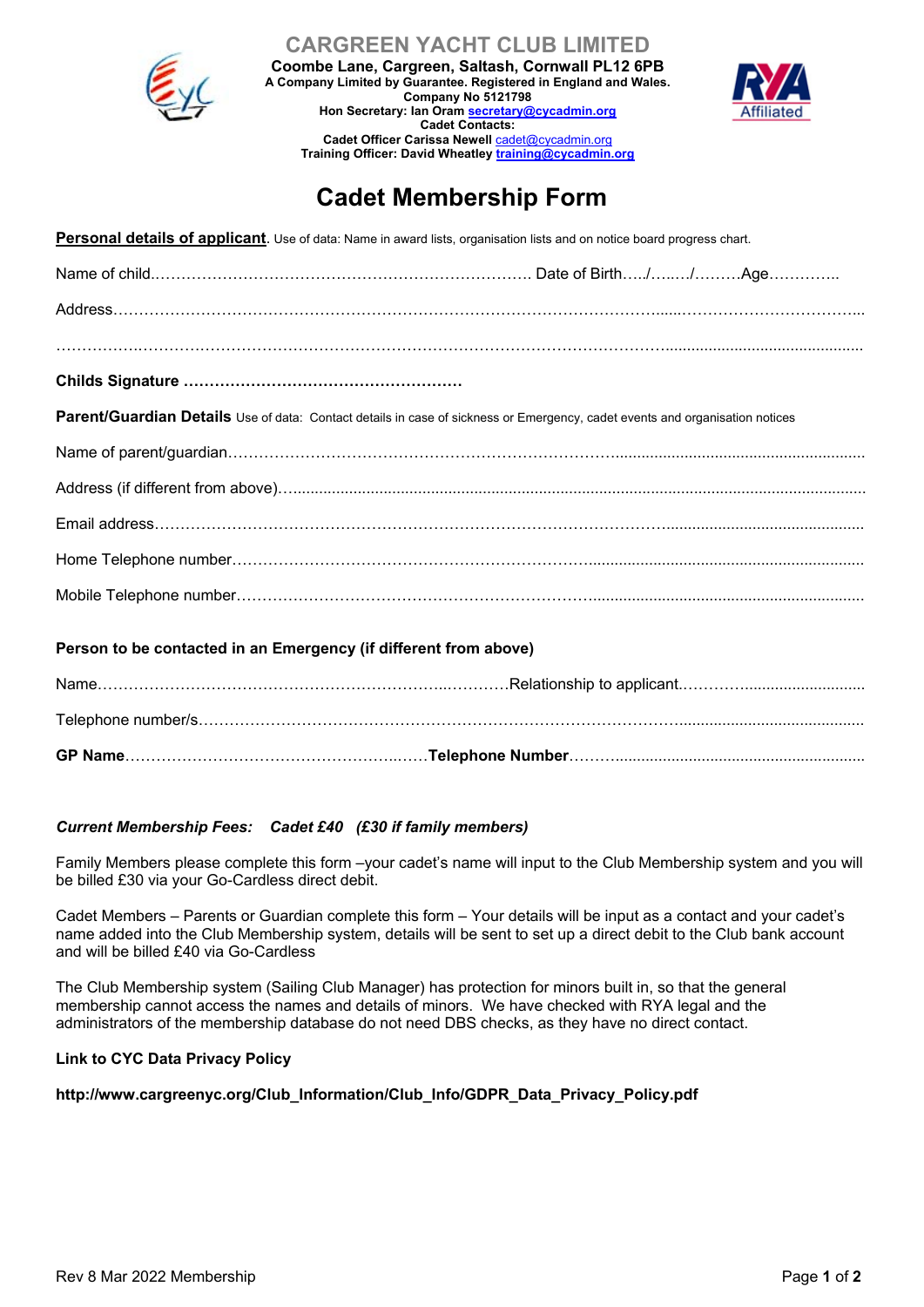

**CARGREEN YACHT CLUB LIMITED**

**Coombe Lane, Cargreen, Saltash, Cornwall PL12 6PB A Company Limited by Guarantee. Registered in England and Wales.**

> **Hon Secretary: Ian Oram secretary@cycadmin.org Cadet Contacts: Cadet Officer Carissa Newell** cadet@cycadmin.org **Training Officer: David Wheatley training@cycadmin.org**

**Company No 5121798**



# **Cadet Membership Form**

**Personal details of applicant**. Use of data: Name in award lists, organisation lists and on notice board progress chart.

| Parent/Guardian Details Use of data: Contact details in case of sickness or Emergency, cadet events and organisation notices |
|------------------------------------------------------------------------------------------------------------------------------|
|                                                                                                                              |
|                                                                                                                              |
|                                                                                                                              |
|                                                                                                                              |
|                                                                                                                              |

#### **Person to be contacted in an Emergency (if different from above)**

#### *Current Membership Fees: Cadet £40 (£30 if family members)*

Family Members please complete this form –your cadet's name will input to the Club Membership system and you will be billed £30 via your Go-Cardless direct debit.

Cadet Members – Parents or Guardian complete this form – Your details will be input as a contact and your cadet's name added into the Club Membership system, details will be sent to set up a direct debit to the Club bank account and will be billed £40 via Go-Cardless

The Club Membership system (Sailing Club Manager) has protection for minors built in, so that the general membership cannot access the names and details of minors. We have checked with RYA legal and the administrators of the membership database do not need DBS checks, as they have no direct contact.

#### **Link to CYC Data Privacy Policy**

#### **http://www.cargreenyc.org/Club\_Information/Club\_Info/GDPR\_Data\_Privacy\_Policy.pdf**